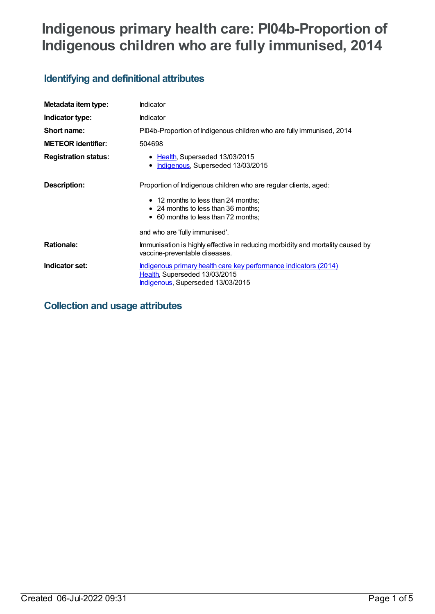# **Indigenous primary health care: PI04b-Proportion of Indigenous children who are fully immunised, 2014**

## **Identifying and definitional attributes**

| Metadata item type:         | Indicator                                                                                                                                                                             |
|-----------------------------|---------------------------------------------------------------------------------------------------------------------------------------------------------------------------------------|
| Indicator type:             | Indicator                                                                                                                                                                             |
| Short name:                 | PI04b-Proportion of Indigenous children who are fully immunised, 2014                                                                                                                 |
| <b>METEOR identifier:</b>   | 504698                                                                                                                                                                                |
| <b>Registration status:</b> | • Health, Superseded 13/03/2015<br>Indigenous, Superseded 13/03/2015<br>٠                                                                                                             |
| Description:                | Proportion of Indigenous children who are regular clients, aged:<br>• 12 months to less than 24 months;<br>• 24 months to less than 36 months;<br>• 60 months to less than 72 months; |
|                             | and who are 'fully immunised'.                                                                                                                                                        |
| <b>Rationale:</b>           | Immunisation is highly effective in reducing morbidity and mortality caused by<br>vaccine-preventable diseases.                                                                       |
| Indicator set:              | Indigenous primary health care key performance indicators (2014)<br>Health, Superseded 13/03/2015<br><b>Indigenous, Superseded 13/03/2015</b>                                         |

## **Collection and usage attributes**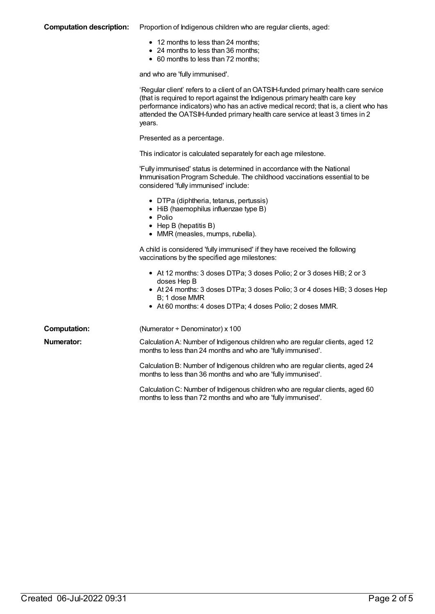#### **Computation description:** Proportion of Indigenous children who are regular clients, aged:

- 12 months to less than 24 months;
- 24 months to less than 36 months;
- 60 months to less than 72 months;

and who are 'fully immunised'.

|                     | 'Regular client' refers to a client of an OATSIH-funded primary health care service<br>(that is required to report against the Indigenous primary health care key<br>performance indicators) who has an active medical record; that is, a client who has<br>attended the OATSIH-funded primary health care service at least 3 times in 2<br>years. |
|---------------------|----------------------------------------------------------------------------------------------------------------------------------------------------------------------------------------------------------------------------------------------------------------------------------------------------------------------------------------------------|
|                     | Presented as a percentage.                                                                                                                                                                                                                                                                                                                         |
|                     | This indicator is calculated separately for each age milestone.                                                                                                                                                                                                                                                                                    |
|                     | 'Fully immunised' status is determined in accordance with the National<br>Immunisation Program Schedule. The childhood vaccinations essential to be<br>considered 'fully immunised' include:                                                                                                                                                       |
|                     | • DTPa (diphtheria, tetanus, pertussis)<br>• HiB (haemophilus influenzae type B)<br>$\bullet$ Polio<br>• Hep B (hepatitis B)<br>• MMR (measles, mumps, rubella).                                                                                                                                                                                   |
|                     | A child is considered 'fully immunised' if they have received the following<br>vaccinations by the specified age milestones:                                                                                                                                                                                                                       |
|                     | • At 12 months: 3 doses DTPa; 3 doses Polio; 2 or 3 doses HiB; 2 or 3<br>doses Hep B<br>• At 24 months: 3 doses DTPa; 3 doses Polio; 3 or 4 doses HiB; 3 doses Hep<br>B; 1 dose MMR<br>• At 60 months: 4 doses DTPa; 4 doses Polio; 2 doses MMR.                                                                                                   |
| <b>Computation:</b> | (Numerator ÷ Denominator) x 100                                                                                                                                                                                                                                                                                                                    |
| Numerator:          | Calculation A: Number of Indigenous children who are regular clients, aged 12<br>months to less than 24 months and who are 'fully immunised'.                                                                                                                                                                                                      |
|                     | Calculation B: Number of Indigenous children who are regular clients, aged 24<br>months to less than 36 months and who are 'fully immunised'.                                                                                                                                                                                                      |
|                     | Calculation C: Number of Indigenous children who are regular clients, aged 60<br>months to less than 72 months and who are 'fully immunised'.                                                                                                                                                                                                      |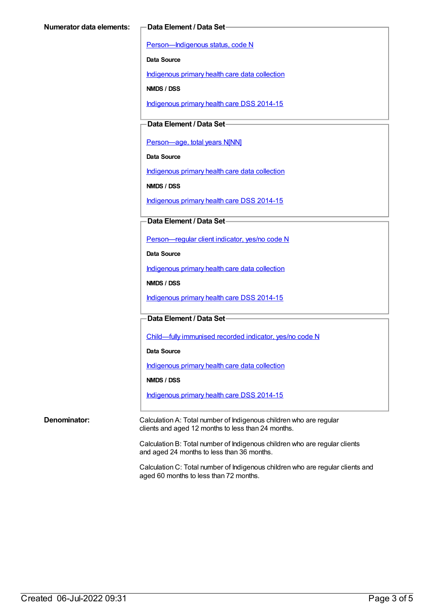[Person—Indigenous](https://meteor.aihw.gov.au/content/291036) status, code N

**Data Source**

[Indigenous](https://meteor.aihw.gov.au/content/430643) primary health care data collection

**NMDS / DSS**

[Indigenous](https://meteor.aihw.gov.au/content/504325) primary health care DSS 2014-15

**Data Element / Data Set**

[Person—age,](https://meteor.aihw.gov.au/content/303794) total years N[NN]

**Data Source**

[Indigenous](https://meteor.aihw.gov.au/content/430643) primary health care data collection

**NMDS / DSS**

[Indigenous](https://meteor.aihw.gov.au/content/504325) primary health care DSS 2014-15

**Data Element / Data Set**

[Person—regular](https://meteor.aihw.gov.au/content/436639) client indicator, yes/no code N

**Data Source**

[Indigenous](https://meteor.aihw.gov.au/content/430643) primary health care data collection

**NMDS / DSS**

[Indigenous](https://meteor.aihw.gov.au/content/504325) primary health care DSS 2014-15

**Data Element / Data Set**

[Child—fully](https://meteor.aihw.gov.au/content/457664) immunised recorded indicator, yes/no code N

**Data Source**

[Indigenous](https://meteor.aihw.gov.au/content/430643) primary health care data collection

**NMDS / DSS**

[Indigenous](https://meteor.aihw.gov.au/content/504325) primary health care DSS 2014-15

**Denominator:** Calculation A: Total number of Indigenous children who are regular clients and aged 12 months to less than 24 months.

> Calculation B: Total number of Indigenous children who are regular clients and aged 24 months to less than 36 months.

Calculation C: Total number of Indigenous children who are regular clients and aged 60 months to less than 72 months.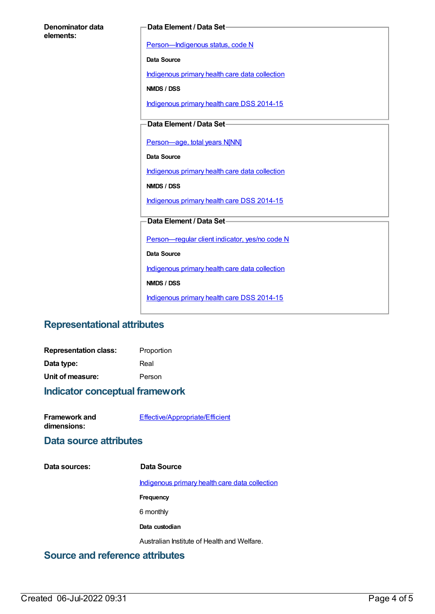| Denominator data |  |
|------------------|--|
| elements:        |  |

#### **Data Element / Data Set**

[Person—Indigenous](https://meteor.aihw.gov.au/content/291036) status, code N

**Data Source**

[Indigenous](https://meteor.aihw.gov.au/content/430643) primary health care data collection

**NMDS / DSS**

[Indigenous](https://meteor.aihw.gov.au/content/504325) primary health care DSS 2014-15

**Data Element / Data Set**

[Person—age,](https://meteor.aihw.gov.au/content/303794) total years N[NN]

**Data Source**

[Indigenous](https://meteor.aihw.gov.au/content/430643) primary health care data collection

**NMDS / DSS**

[Indigenous](https://meteor.aihw.gov.au/content/504325) primary health care DSS 2014-15

#### **Data Element / Data Set**

[Person—regular](https://meteor.aihw.gov.au/content/436639) client indicator, yes/no code N

**Data Source**

[Indigenous](https://meteor.aihw.gov.au/content/430643) primary health care data collection

**NMDS / DSS**

[Indigenous](https://meteor.aihw.gov.au/content/504325) primary health care DSS 2014-15

### **Representational attributes**

| <b>Representation class:</b> | Proportion |
|------------------------------|------------|
| Data type:                   | Real       |
| Unit of measure:             | Person     |

#### **Indicator conceptual framework**

| Framework and | Effective/Appropriate/Efficient |
|---------------|---------------------------------|
| dimensions:   |                                 |

### **Data source attributes**

**Data sources: Data Source**

[Indigenous](https://meteor.aihw.gov.au/content/430643) primary health care data collection

**Frequency**

6 monthly

**Data custodian**

Australian Institute of Health and Welfare.

### **Source and reference attributes**